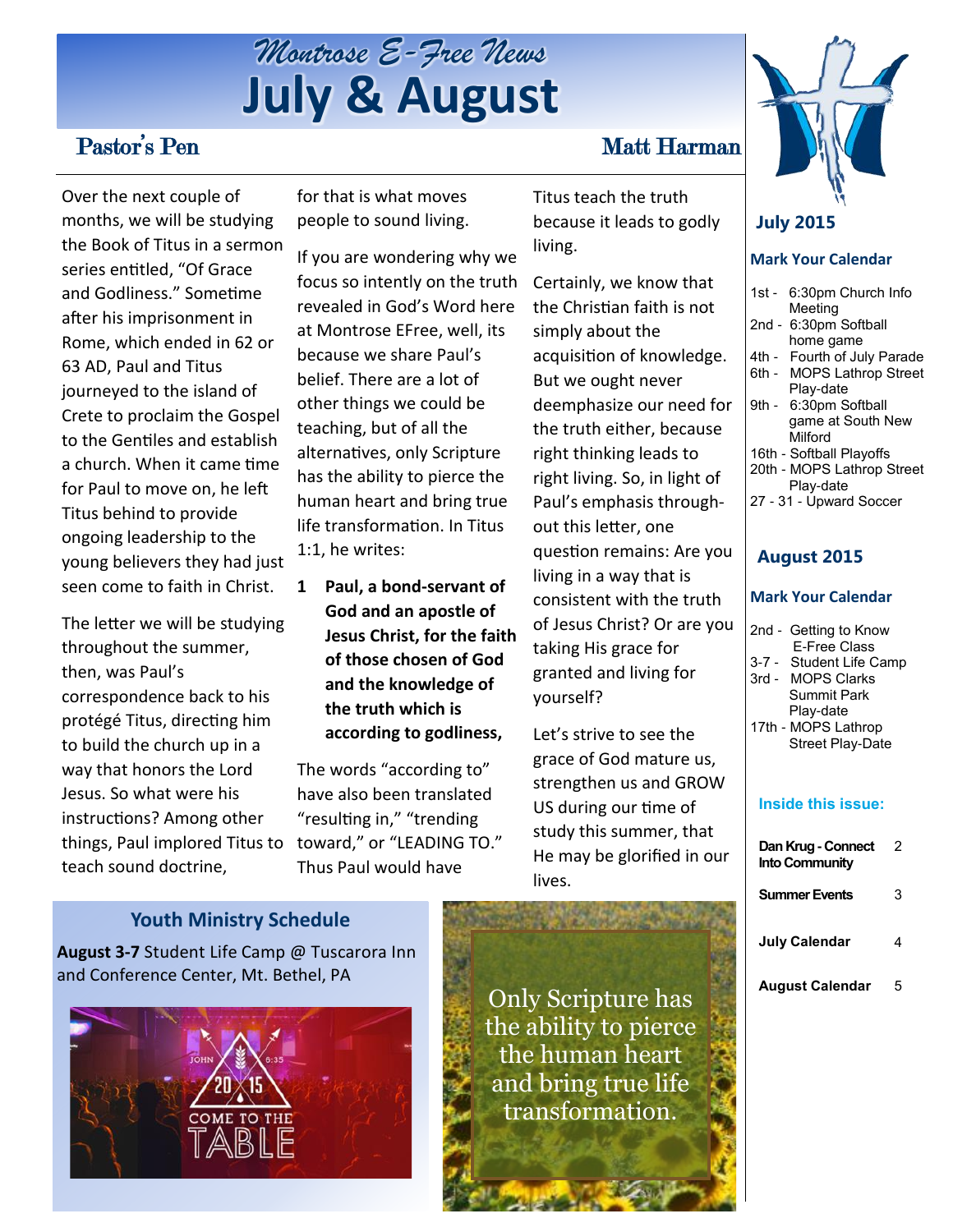

## Pastor's Pen Matt Harman

Over the next couple of months, we will be studying the Book of Titus in a sermon series entitled, "Of Grace and Godliness." Sometime after his imprisonment in Rome, which ended in 62 or 63 AD, Paul and Titus journeyed to the island of Crete to proclaim the Gospel to the Gentiles and establish a church. When it came time for Paul to move on, he left Titus behind to provide ongoing leadership to the young believers they had just seen come to faith in Christ.

things, Paul implored Titus to toward," or "LEADING TO." The letter we will be studying throughout the summer, then, was Paul's correspondence back to his protégé Titus, directing him to build the church up in a way that honors the Lord Jesus. So what were his instructions? Among other teach sound doctrine,

for that is what moves people to sound living.

If you are wondering why we focus so intently on the truth revealed in God's Word here at Montrose EFree, well, its because we share Paul's belief. There are a lot of other things we could be teaching, but of all the alternatives, only Scripture has the ability to pierce the human heart and bring true life transformation. In Titus 1:1, he writes:

**1 Paul, a bond-servant of God and an apostle of Jesus Christ, for the faith of those chosen of God and the knowledge of the truth which is according to godliness,**

The words "according to" have also been translated "resulting in," "trending Thus Paul would have

Titus teach the truth because it leads to godly living.

Certainly, we know that the Christian faith is not simply about the acquisition of knowledge. But we ought never deemphasize our need for the truth either, because right thinking leads to right living. So, in light of Paul's emphasis throughout this letter, one question remains: Are you living in a way that is consistent with the truth of Jesus Christ? Or are you taking His grace for granted and living for yourself?

Let's strive to see the grace of God mature us, strengthen us and GROW US during our time of study this summer, that He may be glorified in our lives.



#### **July 2015**

#### **Mark Your Calendar**

- 1st 6:30pm Church Info Meeting
- 2nd 6:30pm Softball home game
- 4th Fourth of July Parade
- 6th MOPS Lathrop Street
- Play-date
- 9th 6:30pm Softball game at South New Milford
- 16th Softball Playoffs
- 20th MOPS Lathrop Street
	- Play-date

#### 27 - 31 - Upward Soccer

#### **August 2015**

#### **Mark Your Calendar**

- 2nd Getting to Know E-Free Class
- 3-7 Student Life Camp 3rd - MOPS Clarks Summit Park
- Play-date 17th - MOPS Lathrop Street Play-Date

#### **Inside this issue:**

| Dan Krug - Connect<br><b>Into Community</b> | 2 |
|---------------------------------------------|---|
| <b>Summer Events</b>                        | 3 |
| July Calendar                               |   |
| August Calendar                             | 5 |

#### **Youth Ministry Schedule**

**August 3-7** Student Life Camp @ Tuscarora Inn and Conference Center, Mt. Bethel, PA



Only Scripture has the ability to pierce the human heart and bring true life transformation.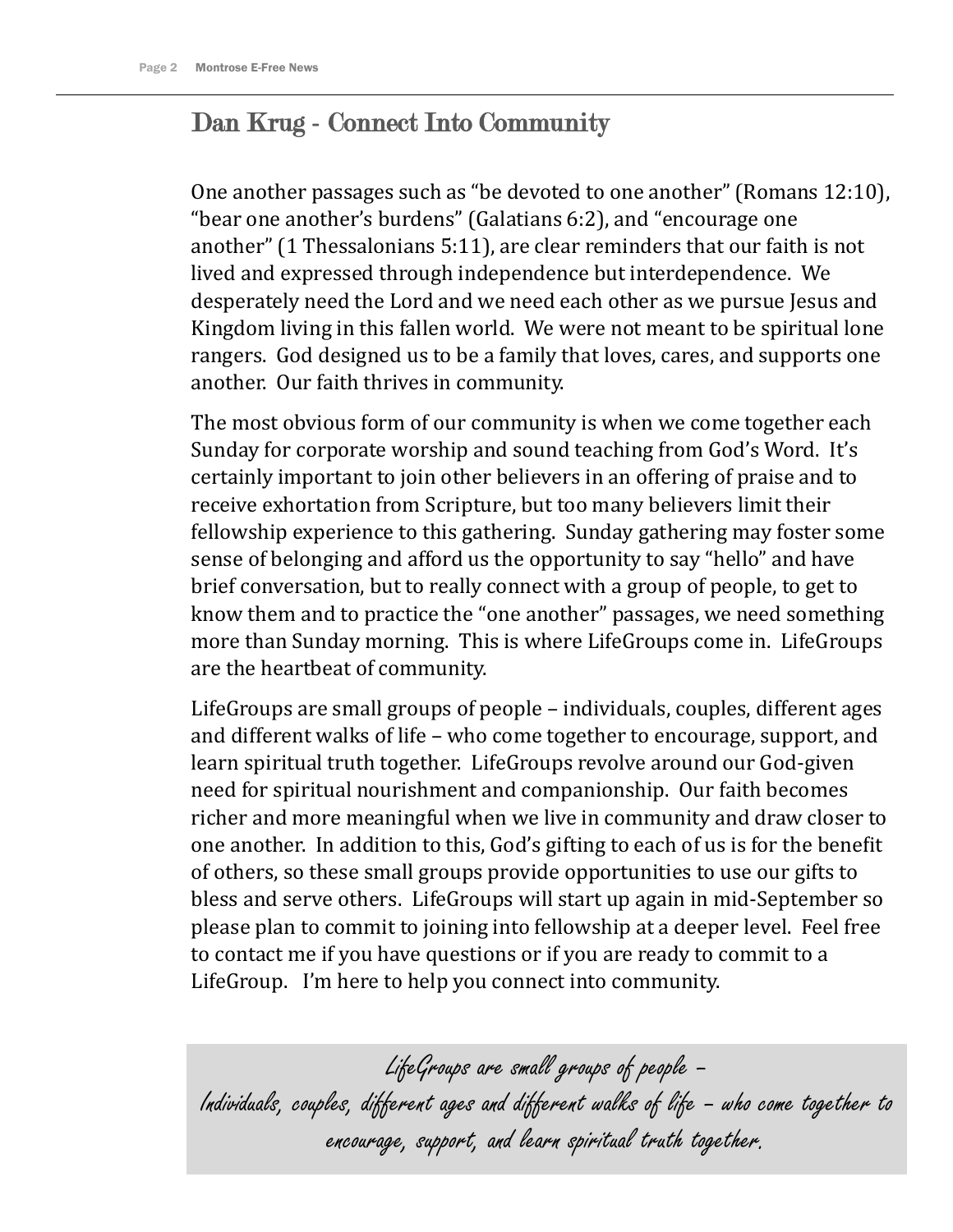## Dan Krug - Connect Into Community

One another passages such as "be devoted to one another" (Romans 12:10), "bear one another's burdens" (Galatians 6:2), and "encourage one another" (1 Thessalonians 5:11), are clear reminders that our faith is not lived and expressed through independence but interdependence. We desperately need the Lord and we need each other as we pursue Jesus and Kingdom living in this fallen world. We were not meant to be spiritual lone rangers. God designed us to be a family that loves, cares, and supports one another. Our faith thrives in community.

The most obvious form of our community is when we come together each Sunday for corporate worship and sound teaching from God's Word. It's certainly important to join other believers in an offering of praise and to receive exhortation from Scripture, but too many believers limit their fellowship experience to this gathering. Sunday gathering may foster some sense of belonging and afford us the opportunity to say "hello" and have brief conversation, but to really connect with a group of people, to get to know them and to practice the "one another" passages, we need something more than Sunday morning. This is where LifeGroups come in. LifeGroups are the heartbeat of community.

LifeGroups are small groups of people – individuals, couples, different ages and different walks of life – who come together to encourage, support, and learn spiritual truth together. LifeGroups revolve around our God-given need for spiritual nourishment and companionship. Our faith becomes richer and more meaningful when we live in community and draw closer to one another. In addition to this, God's gifting to each of us is for the benefit of others, so these small groups provide opportunities to use our gifts to bless and serve others. LifeGroups will start up again in mid-September so please plan to commit to joining into fellowship at a deeper level. Feel free to contact me if you have questions or if you are ready to commit to a LifeGroup. I'm here to help you connect into community.

LifeGroups are small groups of people – Individuals, couples, different ages and different walks of life – who come together to encourage, support, and learn spiritual truth together.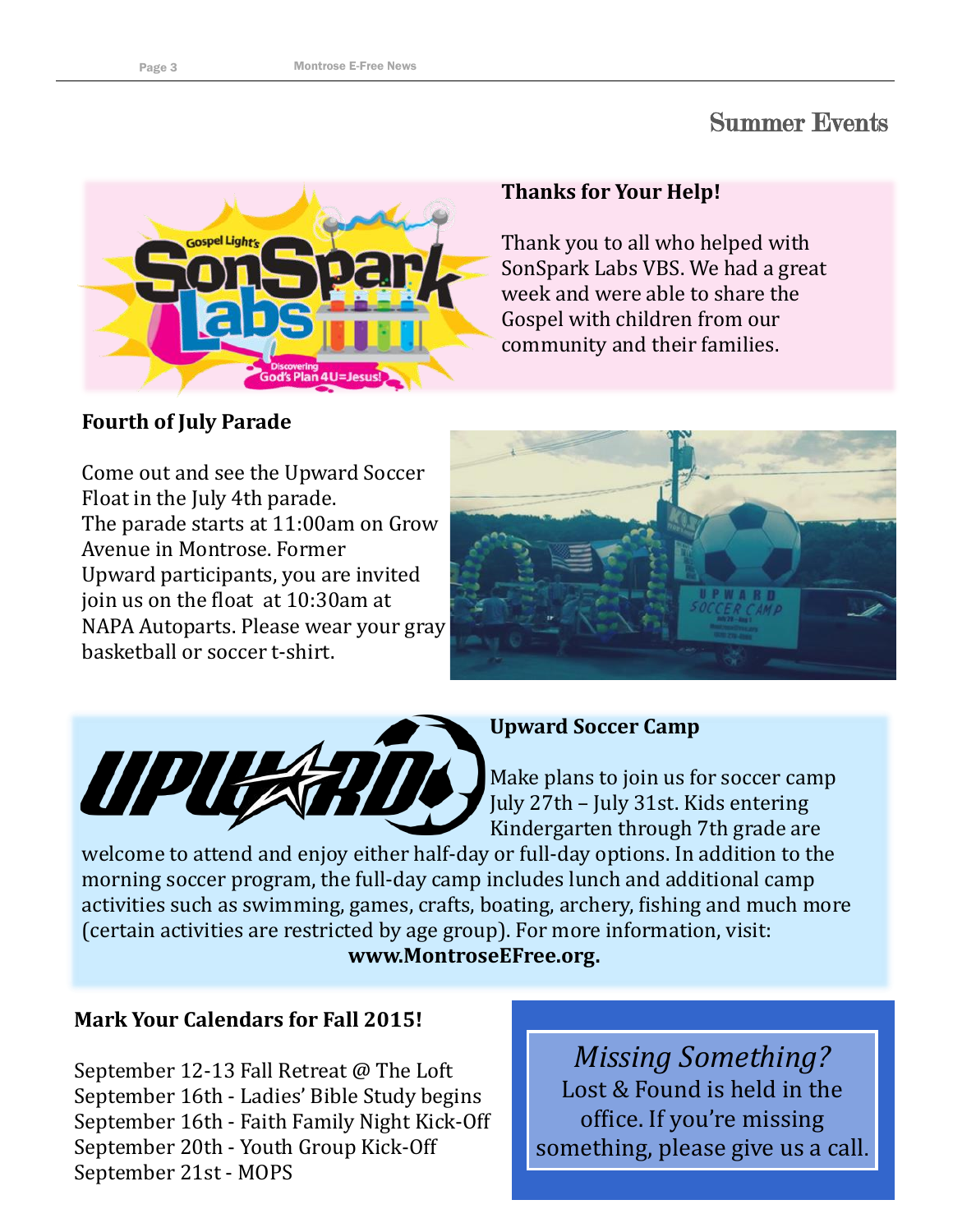## Summer Events



### **Thanks for Your Help!**

Thank you to all who helped with SonSpark Labs VBS. We had a great week and were able to share the Gospel with children from our community and their families.

## **Fourth of July Parade**

Come out and see the Upward Soccer Float in the July 4th parade. The parade starts at 11:00am on Grow Avenue in Montrose. Former Upward participants, you are invited join us on the float at 10:30am at NAPA Autoparts. Please wear your gray basketball or soccer t-shirt.





### **Upward Soccer Camp**

Make plans to join us for soccer camp July 27th – July 31st. Kids entering Kindergarten through 7th grade are

welcome to attend and enjoy either half-day or full-day options. In addition to the morning soccer program, the full-day camp includes lunch and additional camp activities such as swimming, games, crafts, boating, archery, fishing and much more (certain activities are restricted by age group). For more information, visit: **www.MontroseEFree.org.**

## **Mark Your Calendars for Fall 2015!**

September 12-13 Fall Retreat @ The Loft September 16th - Ladies' Bible Study begins September 16th - Faith Family Night Kick-Off September 20th - Youth Group Kick-Off September 21st - MOPS

*Missing Something?*  Lost & Found is held in the office. If you're missing something, please give us a call.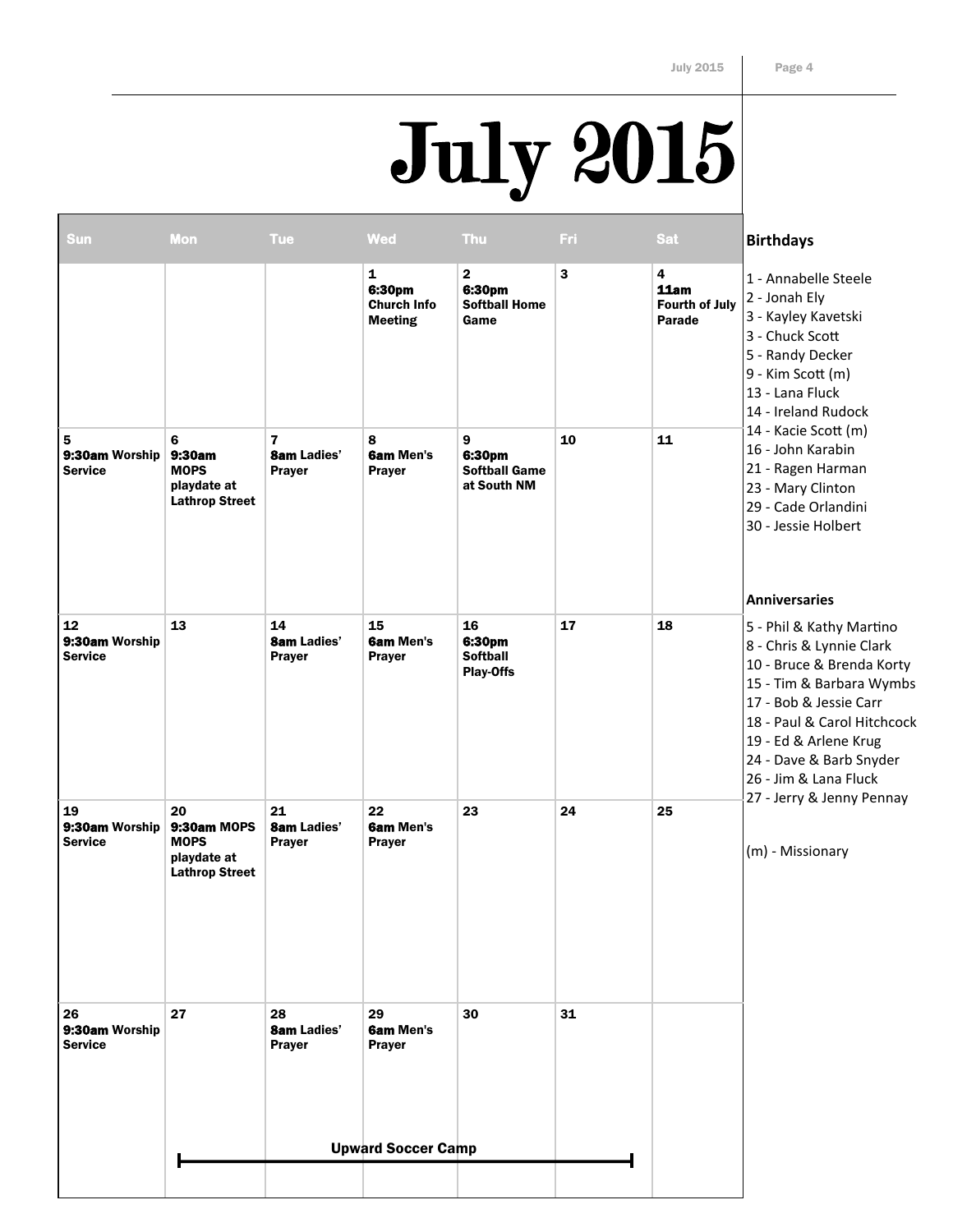# July 2015

| <b>Sun</b>                             | Mon                                                                      | <b>Tue</b>                                | <b>Wed</b>                                                     | <b>Thu</b>                                             | Fri | <b>Sat</b>                                          | <b>Birthdays</b>                                                                                                                                                                                                                                                                                     |
|----------------------------------------|--------------------------------------------------------------------------|-------------------------------------------|----------------------------------------------------------------|--------------------------------------------------------|-----|-----------------------------------------------------|------------------------------------------------------------------------------------------------------------------------------------------------------------------------------------------------------------------------------------------------------------------------------------------------------|
|                                        |                                                                          |                                           | $\mathbf{1}$<br>6:30pm<br><b>Church Info</b><br><b>Meeting</b> | $\mathbf{2}$<br>6:30pm<br><b>Softball Home</b><br>Game | 3   | 4<br>11am<br><b>Fourth of July</b><br><b>Parade</b> | 1 - Annabelle Steele<br>2 - Jonah Ely<br>3 - Kayley Kavetski<br>3 - Chuck Scott<br>5 - Randy Decker<br>9 - Kim Scott (m)<br>13 - Lana Fluck<br>14 - Ireland Rudock                                                                                                                                   |
| 5<br>9:30am Worship<br><b>Service</b>  | 6<br>9:30am<br><b>MOPS</b><br>playdate at<br><b>Lathrop Street</b>       | 7<br><b>8am Ladies'</b><br>Prayer         | 8<br><b>6am Men's</b><br><b>Prayer</b>                         | 9<br>6:30pm<br><b>Softball Game</b><br>at South NM     | 10  | 11                                                  | 14 - Kacie Scott (m)<br>16 - John Karabin<br>21 - Ragen Harman<br>23 - Mary Clinton<br>29 - Cade Orlandini<br>30 - Jessie Holbert<br><b>Anniversaries</b>                                                                                                                                            |
| 12<br>9:30am Worship<br><b>Service</b> | 13                                                                       | 14<br><b>8am Ladies'</b><br><b>Prayer</b> | 15<br><b>6am Men's</b><br><b>Prayer</b>                        | 16<br>6:30pm<br><b>Softball</b><br><b>Play-Offs</b>    | 17  | 18                                                  | 5 - Phil & Kathy Martino<br>8 - Chris & Lynnie Clark<br>10 - Bruce & Brenda Korty<br>15 - Tim & Barbara Wymbs<br>17 - Bob & Jessie Carr<br>18 - Paul & Carol Hitchcock<br>19 - Ed & Arlene Krug<br>24 - Dave & Barb Snyder<br>26 - Jim & Lana Fluck<br>27 - Jerry & Jenny Pennay<br>(m) - Missionary |
| 19<br>9:30am Worship<br><b>Service</b> | 20<br>9:30am MOPS<br><b>MOPS</b><br>playdate at<br><b>Lathrop Street</b> | 21<br><b>8am Ladies'</b><br><b>Prayer</b> | 22<br><b>6am Men's</b><br><b>Prayer</b>                        | 23                                                     | 24  | 25                                                  |                                                                                                                                                                                                                                                                                                      |
| 26<br>9:30am Worship<br><b>Service</b> | 27                                                                       | 28<br><b>8am Ladies'</b><br><b>Prayer</b> | 29<br><b>6am Men's</b><br><b>Prayer</b>                        | 30                                                     | 31  |                                                     |                                                                                                                                                                                                                                                                                                      |
|                                        |                                                                          |                                           | <b>Upward Soccer Camp</b>                                      |                                                        |     |                                                     |                                                                                                                                                                                                                                                                                                      |
|                                        |                                                                          |                                           |                                                                |                                                        |     |                                                     |                                                                                                                                                                                                                                                                                                      |